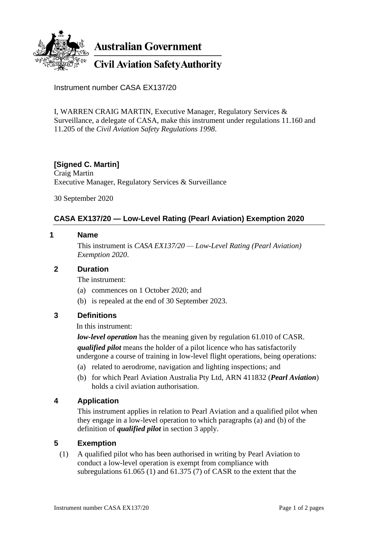

Instrument number CASA EX137/20

I, WARREN CRAIG MARTIN, Executive Manager, Regulatory Services & Surveillance, a delegate of CASA, make this instrument under regulations 11.160 and 11.205 of the *Civil Aviation Safety Regulations 1998*.

### **[Signed C. Martin]**

Craig Martin Executive Manager, Regulatory Services & Surveillance

30 September 2020

## **CASA EX137/20 — Low-Level Rating (Pearl Aviation) Exemption 2020**

#### **1 Name**

This instrument is *CASA EX137/20 — Low-Level Rating (Pearl Aviation) Exemption 2020*.

#### **2 Duration**

The instrument:

- (a) commences on 1 October 2020; and
- (b) is repealed at the end of 30 September 2023.

### **3 Definitions**

In this instrument:

*low-level operation* has the meaning given by regulation 61.010 of CASR. *qualified pilot* means the holder of a pilot licence who has satisfactorily undergone a course of training in low-level flight operations, being operations:

- (a) related to aerodrome, navigation and lighting inspections; and
- (b) for which Pearl Aviation Australia Pty Ltd, ARN 411832 (*Pearl Aviation*) holds a civil aviation authorisation.

### **4 Application**

This instrument applies in relation to Pearl Aviation and a qualified pilot when they engage in a low-level operation to which paragraphs (a) and (b) of the definition of *qualified pilot* in section 3 apply.

### **5 Exemption**

(1) A qualified pilot who has been authorised in writing by Pearl Aviation to conduct a low-level operation is exempt from compliance with subregulations 61.065 (1) and 61.375 (7) of CASR to the extent that the